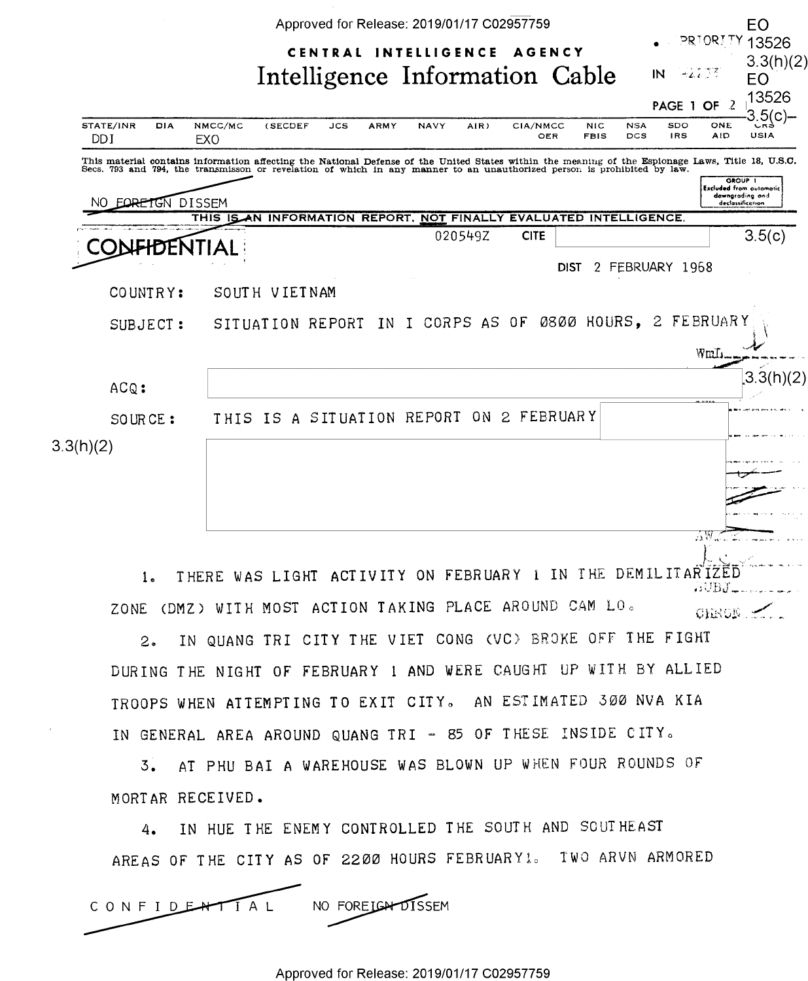|                             | Approved for Release: 2019/01/17 C02957759                                                                                                                                                                                        | EO                                                                               |
|-----------------------------|-----------------------------------------------------------------------------------------------------------------------------------------------------------------------------------------------------------------------------------|----------------------------------------------------------------------------------|
|                             | PRIORITY<br>CENTRAL INTELLIGENCE<br><b>AGENCY</b><br>Intelligence Information Cable<br>$\mathsf{IN}$<br>$-22.33$                                                                                                                  | 13526<br>3.3(h)(2)<br>EO                                                         |
| STATE/INR<br>DIA            | PAGE 1 OF<br>- 2<br>NMCC/MC<br><b>NSA</b><br>SDO<br>ONE<br>(SECDEF<br>JCS<br><b>ARMY</b><br><b>NAVY</b><br>AIR)<br>CIA/NMCC<br><b>NIC</b>                                                                                         | 13526<br>.5(c)-<br>しべき                                                           |
| <b>DDI</b>                  | <b>DCS</b><br><b>IRS</b><br><b>AID</b><br>OER<br><b>FBIS</b><br>EXO                                                                                                                                                               | USIA                                                                             |
| <b>EQRETGN DISSEM</b><br>NΩ | This material contains information affecting the National Defense of the United States within the meaning of the Espionage Laws, Title 18, U.S.C.<br>Secs. 793 and 794, the transmisson or revelation of which in any manner to a | GROUP 1<br><b>Excluded from automotic</b><br>downgrading and<br>declassification |
|                             | THIS IS AN INFORMATION REPORT, NOT FINALLY EVALUATED INTELLIGENCE.                                                                                                                                                                |                                                                                  |
| hг                          | <b>CITE</b><br>020549Z                                                                                                                                                                                                            | 3.5(c)                                                                           |
|                             | 2 FEBRUARY 1968<br><b>DIST</b>                                                                                                                                                                                                    |                                                                                  |
| COUNTRY:                    | SOUTH VIETNAM                                                                                                                                                                                                                     |                                                                                  |
| SUBJECT:                    | IN I CORPS AS OF 0800 HOURS, 2<br>FEBRUARY<br>SITUATION REPORT<br>WmL.                                                                                                                                                            |                                                                                  |
| ACQ:                        | <b>ARCHIVES</b>                                                                                                                                                                                                                   | 3.3(h)(2)                                                                        |
| SOURCE:                     | THIS IS A SITUATION REPORT ON 2 FEBRUARY                                                                                                                                                                                          |                                                                                  |
| 3.3(h)(2)                   |                                                                                                                                                                                                                                   |                                                                                  |
|                             | 75W                                                                                                                                                                                                                               |                                                                                  |

1. THERE WAS LIGHT ACTIVITY ON FEBRUARY 1 IN THE DEMILITAR IZED **RUBJ\_** ZONE (DMZ) WITH MOST ACTION TAKING PLACE AROUND CAM LO. CHRON S

2. IN QUANG TRI CITY THE VIET CONG (VC) BROKE OFF THE FIGHT DURING THE NIGHT OF FEBRUARY 1 AND WERE CAUGHT UP WITH BY ALLIED TROOPS WHEN ATTEMPTING TO EXIT CITY. AN ESTIMATED 300 NVA KIA IN GENERAL AREA AROUND QUANG TRI - 85 OF THESE INSIDE CITY.

3. AT PHU BAI A WAREHOUSE WAS BLOWN UP WHEN FOUR ROUNDS OF MORTAR RECEIVED.

4. IN HUE THE ENEMY CONTROLLED THE SOUTH AND SOUTHEAST AREAS OF THE CITY AS OF 2200 HOURS FEBRUARYI. TWO ARVN ARMORED

NO FOREIGH DISSEM CONFIDENTIAL